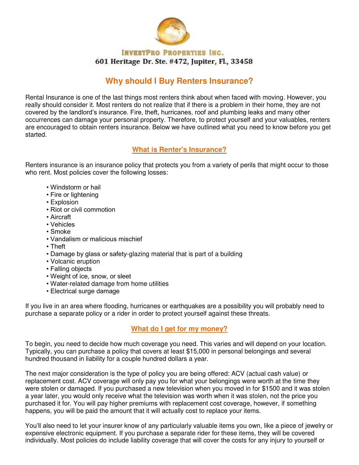

#### **INVESTPRO PROPERTIES INC.** 601 Heritage Dr. Ste. #472, Jupiter, Fl., 33458

# **Why should I Buy Renters Insurance?**

Rental Insurance is one of the last things most renters think about when faced with moving. However, you really should consider it. Most renters do not realize that if there is a problem in their home, they are not covered by the landlord's insurance. Fire, theft, hurricanes, roof and plumbing leaks and many other occurrences can damage your personal property. Therefore, to protect yourself and your valuables, renters are encouraged to obtain renters insurance. Below we have outlined what you need to know before you get started.

## **What is Renter's Insurance?**

Renters insurance is an insurance policy that protects you from a variety of perils that might occur to those who rent. Most policies cover the following losses:

- Windstorm or hail
- Fire or lightening
- Explosion
- Riot or civil commotion
- Aircraft
- Vehicles
- Smoke
- Vandalism or malicious mischief
- Theft
- Damage by glass or safety-glazing material that is part of a building
- Volcanic eruption
- Falling objects
- Weight of ice, snow, or sleet
- Water-related damage from home utilities
- Electrical surge damage

If you live in an area where flooding, hurricanes or earthquakes are a possibility you will probably need to purchase a separate policy or a rider in order to protect yourself against these threats.

## **What do I get for my money?**

To begin, you need to decide how much coverage you need. This varies and will depend on your location. Typically, you can purchase a policy that covers at least \$15,000 in personal belongings and several hundred thousand in liability for a couple hundred dollars a year.

The next major consideration is the type of policy you are being offered: ACV (actual cash value) or replacement cost. ACV coverage will only pay you for what your belongings were worth at the time they were stolen or damaged. If you purchased a new television when you moved in for \$1500 and it was stolen a year later, you would only receive what the television was worth when it was stolen, not the price you purchased it for. You will pay higher premiums with replacement cost coverage, however, if something happens, you will be paid the amount that it will actually cost to replace your items.

You'll also need to let your insurer know of any particularly valuable items you own, like a piece of jewelry or expensive electronic equipment. If you purchase a separate rider for these items, they will be covered individually. Most policies do include liability coverage that will cover the costs for any injury to yourself or